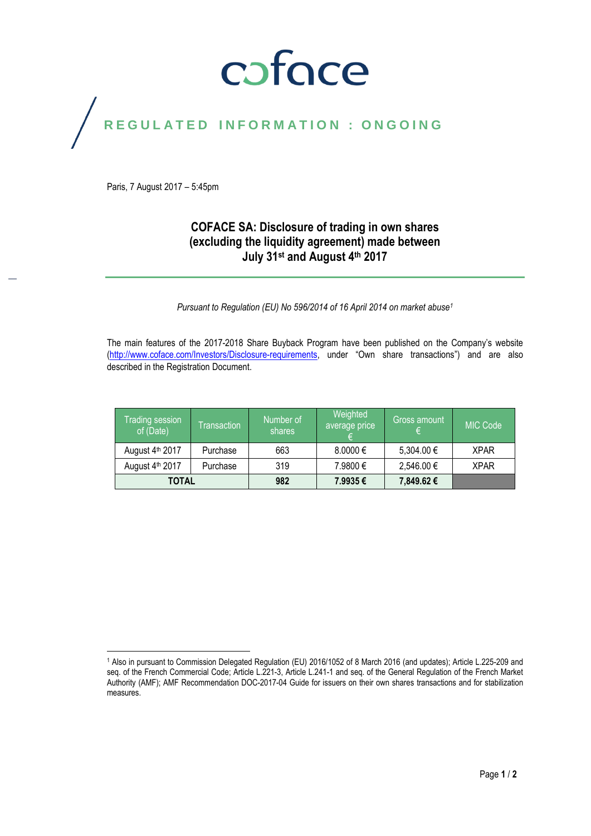# coface

## REGULATED INFORMATION : ONGOING

Paris, 7 August 2017 – 5:45pm

### **COFACE SA: Disclosure of trading in own shares (excluding the liquidity agreement) made between July 31st and August 4 th 2017**

*Pursuant to Regulation (EU) No 596/2014 of 16 April 2014 on market abuse<sup>1</sup>*

The main features of the 2017-2018 Share Buyback Program have been published on the Company's website [\(http://www.coface.com/Investors/Disclosure-requirements,](http://www.coface.com/Investors/Disclosure-requirements) under "Own share transactions") and are also described in the Registration Document.

| Trading session<br>of (Date) | Transaction | Number of<br>shares | Weighted<br>average price | 'Gross amount, | MIC Code    |
|------------------------------|-------------|---------------------|---------------------------|----------------|-------------|
| August 4th 2017              | Purchase    | 663                 | $8.0000 \in$              | 5,304.00 €     | <b>XPAR</b> |
| August 4th 2017              | Purchase    | 319                 | 7.9800 €                  | 2,546.00 €     | <b>XPAR</b> |
| <b>TOTAL</b>                 |             | 982                 | 7.9935€                   | 7,849.62 €     |             |

 $\overline{a}$ <sup>1</sup> Also in pursuant to Commission Delegated Regulation (EU) 2016/1052 of 8 March 2016 (and updates); Article L.225-209 and seq. of the French Commercial Code; Article L.221-3, Article L.241-1 and seq. of the General Regulation of the French Market Authority (AMF); AMF Recommendation DOC-2017-04 Guide for issuers on their own shares transactions and for stabilization measures.